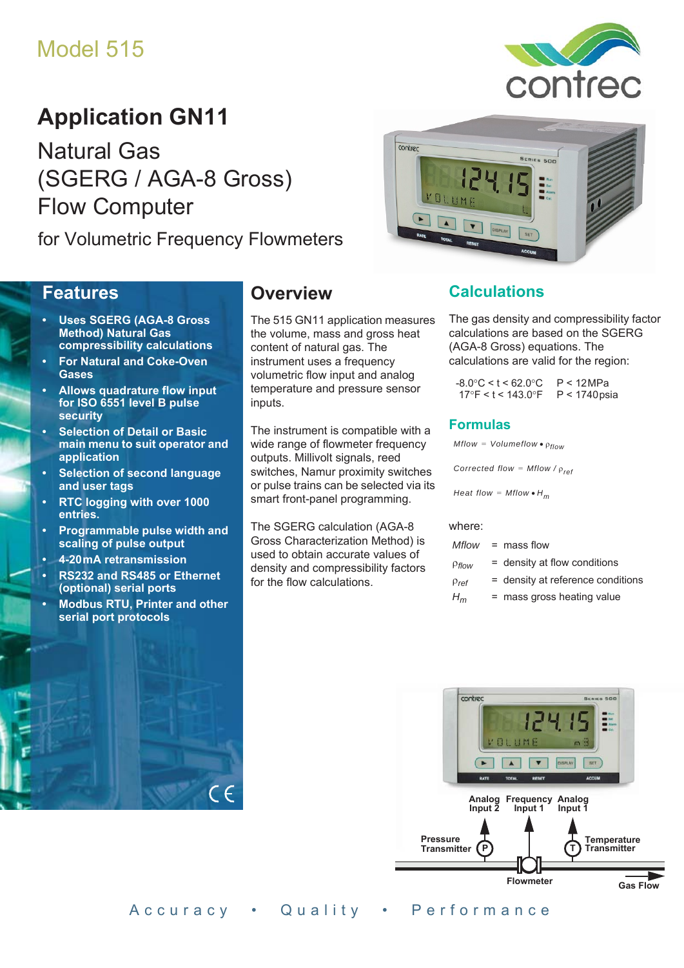# Model 515

# **Application GN11**

Natural Gas (SGERG / AGA-8 Gross) Flow Computer

for Volumetric Frequency Flowmeters

### **Features**

- **Uses SGERG (AGA-8 Gross Method) Natural Gas compressibility calculations**
- **For Natural and Coke-Oven Gases**
- **Allows quadrature flow input for ISO 6551 level B pulse security**
- **Selection of Detail or Basic main menu to suit operator and application**
- **Selection of second language and user tags**
- **RTC logging with over 1000 entries.**
- **Programmable pulse width and scaling of pulse output**
- **4-20 mA retransmission**
- **RS232 and RS485 or Ethernet (optional) serial ports**
- **Modbus RTU, Printer and other serial port protocols**

### **Overview**

The 515 GN11 application measures the volume, mass and gross heat content of natural gas. The instrument uses a frequency volumetric flow input and analog temperature and pressure sensor inputs.

contrec

The instrument is compatible with a wide range of flowmeter frequency outputs. Millivolt signals, reed switches, Namur proximity switches or pulse trains can be selected via its smart front-panel programming.

The SGERG calculation (AGA-8 Gross Characterization Method) is used to obtain accurate values of density and compressibility factors for the flow calculations.



The gas density and compressibility factor calculations are based on the SGERG (AGA-8 Gross) equations. The calculations are valid for the region:

| $-8.0^{\circ}$ C < t < 62.0 $^{\circ}$ C | P < 12MPa       |
|------------------------------------------|-----------------|
| $17^{\circ}$ F < t < 143.0 $^{\circ}$ F  | $P < 1740$ psia |

#### **Formulas**

 $M$ *flow = Volumeflow* •  $\rho$ <sub>*flow*</sub>

*Corrected flow = Mflow /*  $\rho_{ref}$ 

*Heat flow = Mflow •*  $H_m$ 

#### where:

|                  | $Mflow = mass flow$               |
|------------------|-----------------------------------|
| $P$ flow         | $=$ density at flow conditions    |
| Pr <sub>ef</sub> | = density at reference conditions |
| ப                | $-$ moon groon booting value      |

 $H_m$  = mass gross heating value



Accuracy • Quality • Performance



RIES 500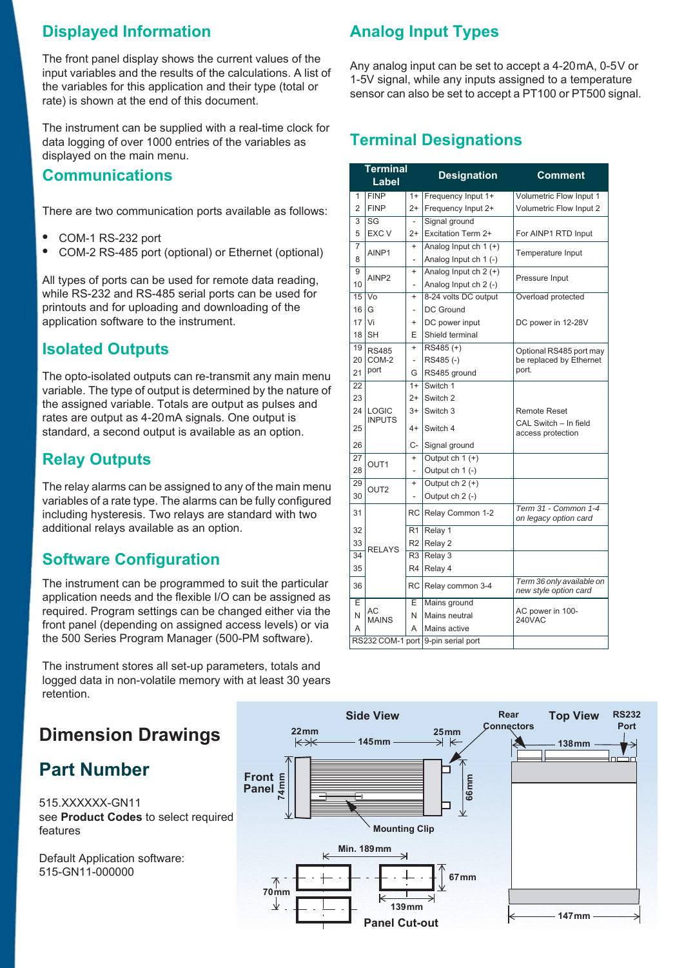### **Displayed Information**

The front panel display shows the current values of the input variables and the results of the calculations. A list of the variables for this application and their type (total or rate) is shown at the end of this document.

The instrument can be supplied with a real-time clock for data logging of over 1000 entries of the variables as displayed on the main menu.

#### **Communications**

There are two communication ports available as follows:

- **•** COM-1 RS-232 port
- **•** COM-2 RS-485 port (optional) or Ethernet (optional)

All types of ports can be used for remote data reading, while RS-232 and RS-485 serial ports can be used for printouts and for uploading and downloading of the application software to the instrument.

### **Isolated Outputs**

The opto-isolated outputs can re-transmit any main menu variable. The type of output is determined by the nature of the assigned variable. Totals are output as pulses and rates are output as 4-20 mA signals. One output is standard, a second output is available as an option.

### **Relay Outputs**

The relay alarms can be assigned to any of the main menu variables of a rate type. The alarms can be fully configured including hysteresis. Two relays are standard with two additional relays available as an option.

### **Software Configuration**

The instrument can be programmed to suit the particular application needs and the flexible I/O can be assigned as required. Program settings can be changed either via the front panel (depending on assigned access levels) or via the 500 Series Program Manager (500-PM software).

The instrument stores all set-up parameters, totals and logged data in non-volatile memory with at least 30 years retention.

## **Dimension Drawings**

## **Part Number**

515.XXXXXX-GN11 see **[Product Codes](#page-3-0)** to select required features

Default Application software: 515-GN11-000000

## Any analog input can be set to accept a 4-20 mA, 0-5 V or 1-5V signal, while any inputs assigned to a temperature sensor can also be set to accept a PT100 or PT500 signal.

## **Terminal Designations**

**Analog Input Types**

|                | <b>Terminal</b><br>Label |                          | <b>Designation</b>                 | Comment                                            |  |  |
|----------------|--------------------------|--------------------------|------------------------------------|----------------------------------------------------|--|--|
| 1              | <b>FINP</b>              | $1+$                     | Frequency Input 1+                 | Volumetric Flow Input 1                            |  |  |
| $\overline{2}$ | <b>FINP</b>              | $2+$                     | Frequency Input 2+                 | Volumetric Flow Input 2                            |  |  |
| 3              | SG                       |                          | Signal ground                      |                                                    |  |  |
| 5              | EXC V                    | $2+$                     | Excitation Term 2+                 | For AINP1 RTD Input                                |  |  |
| 7              | AINP1                    | $\ddot{}$                | Analog Input ch $1 (+)$            | Temperature Input                                  |  |  |
| 8              |                          | $\overline{\phantom{0}}$ | Analog Input ch 1 (-)              |                                                    |  |  |
| 9              | AINP <sub>2</sub>        | $\ddot{}$                | Analog Input $ch 2 (+)$            | Pressure Input                                     |  |  |
| 10             |                          | $\overline{\phantom{0}}$ | Analog Input ch 2 (-)              |                                                    |  |  |
| 15             | Vo                       | $\ddot{}$                | 8-24 volts DC output               | Overload protected                                 |  |  |
| 16             | G                        | $\overline{a}$           | <b>DC</b> Ground                   |                                                    |  |  |
| 17             | Vi                       | $\ddot{}$                | DC power input                     | DC power in 12-28V                                 |  |  |
| 18             | <b>SH</b>                | E                        | Shield terminal                    |                                                    |  |  |
| 19             | <b>RS485</b>             | $\ddot{}$                | RS485 (+)                          | Optional RS485 port may                            |  |  |
| 20             | COM-2                    | $\overline{\phantom{0}}$ | RS485(-)                           | be replaced by Ethernet                            |  |  |
| 21             | port                     | G                        | RS485 ground                       | port.                                              |  |  |
| 22             |                          | $1+$                     | Switch 1                           |                                                    |  |  |
| 23             |                          | $2+$                     | Switch <sub>2</sub>                |                                                    |  |  |
| 24             | <b>LOGIC</b>             | $3+$                     | Switch 3                           | <b>Remote Reset</b>                                |  |  |
| 25             | <b>INPUTS</b>            | $4+$                     | Switch 4                           | CAL Switch - In field<br>access protection         |  |  |
| 26             |                          | C-                       | Signal ground                      |                                                    |  |  |
| 27             | OUT <sub>1</sub>         | $\ddot{}$                | Output $ch 1 (+)$                  |                                                    |  |  |
| 28             |                          |                          | Output ch 1 (-)                    |                                                    |  |  |
| 29             | OUT <sub>2</sub>         | $\ddot{}$                | Output $ch 2 (+)$                  |                                                    |  |  |
| 30             |                          |                          | Output ch 2 (-)                    |                                                    |  |  |
| 31             |                          |                          | RC   Relay Common 1-2              | Term 31 - Common 1-4<br>on legacy option card      |  |  |
| 32             |                          | R <sub>1</sub>           | Relay 1                            |                                                    |  |  |
| 33             | <b>RELAYS</b>            | R <sub>2</sub>           | Relay 2                            |                                                    |  |  |
| 34             |                          | R <sub>3</sub>           | Relay 3                            |                                                    |  |  |
| 35             |                          | R <sub>4</sub>           | Relay 4                            |                                                    |  |  |
| 36             | RC                       |                          | Relay common 3-4                   | Term 36 only available on<br>new style option card |  |  |
| E              |                          | E                        | Mains ground                       |                                                    |  |  |
| N              | AC<br><b>MAINS</b>       | N                        | Mains neutral                      | AC power in 100-<br><b>240VAC</b>                  |  |  |
| A              |                          | A                        | Mains active                       |                                                    |  |  |
|                |                          |                          | RS232 COM-1 port 9-pin serial port |                                                    |  |  |

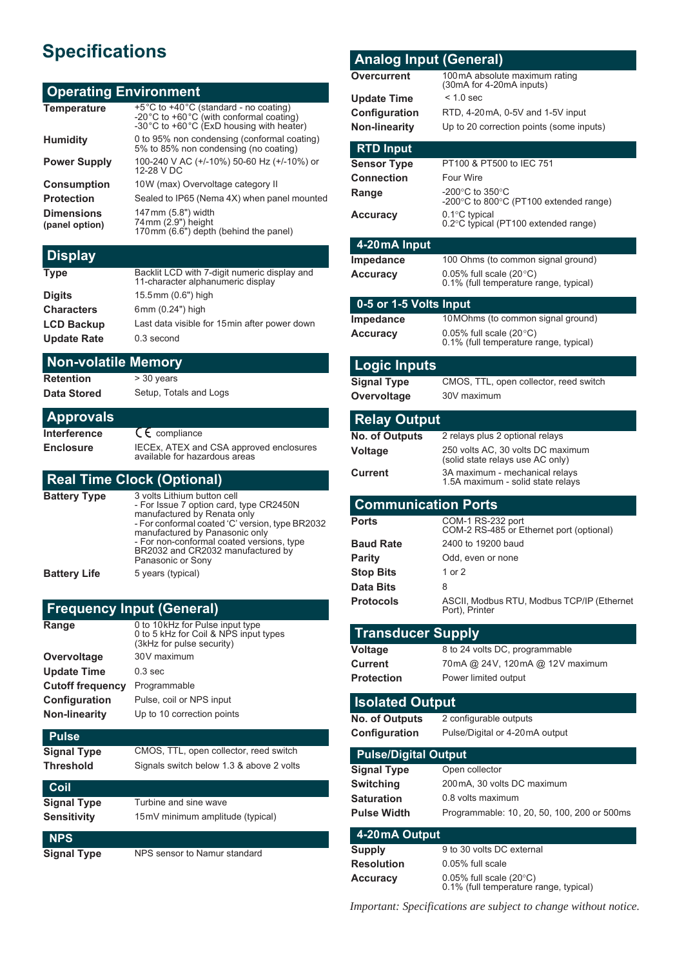## **Specifications**

#### **Operating Environment**

| <b>Temperature</b>                  | +5°C to +40°C (standard - no coating)<br>-20°C to +60°C (with conformal coating)<br>-30°C to +60°C (ExD housing with heater) |
|-------------------------------------|------------------------------------------------------------------------------------------------------------------------------|
| <b>Humidity</b>                     | 0 to 95% non condensing (conformal coating)<br>5% to 85% non condensing (no coating)                                         |
| <b>Power Supply</b>                 | 100-240 V AC (+/-10%) 50-60 Hz (+/-10%) or<br>12-28 V DC                                                                     |
| <b>Consumption</b>                  | 10W (max) Overvoltage category II                                                                                            |
| <b>Protection</b>                   | Sealed to IP65 (Nema 4X) when panel mounted                                                                                  |
| <b>Dimensions</b><br>(panel option) | 147mm (5.8") width<br>74mm (2.9") height<br>170mm (6.6") depth (behind the panel)                                            |

#### **Display**

| Backlit LCD with 7-digit numeric display and<br>11-character alphanumeric display |
|-----------------------------------------------------------------------------------|
| 15.5mm (0.6") high                                                                |
| 6mm (0.24") high                                                                  |
| Last data visible for 15 min after power down                                     |
| 0.3 second                                                                        |
|                                                                                   |

#### **Non-volatile Memory**

**Retention** > 30 years

**Data Stored** Setup, Totals and Logs

| <b>Approvals</b> |                                                                          |
|------------------|--------------------------------------------------------------------------|
| Interference     | $C_{\epsilon}$ compliance                                                |
| <b>Enclosure</b> | IECEx, ATEX and CSA approved enclosures<br>available for hazardous areas |

### **Real Time Clock (Optional)**

| <b>Battery Type</b> | 3 volts Lithium button cell<br>- For Issue 7 option card, type CR2450N<br>manufactured by Renata only<br>- For conformal coated 'C' version, type BR2032<br>manufactured by Panasonic only<br>- For non-conformal coated versions, type<br>BR2032 and CR2032 manufactured by<br>Panasonic or Sony |
|---------------------|---------------------------------------------------------------------------------------------------------------------------------------------------------------------------------------------------------------------------------------------------------------------------------------------------|
| <b>Battery Life</b> | 5 years (typical)                                                                                                                                                                                                                                                                                 |

#### **Frequency Input (General)**

| Range                   | 0 to 10kHz for Pulse input type<br>0 to 5 kHz for Coil & NPS input types<br>(3kHz for pulse security) |
|-------------------------|-------------------------------------------------------------------------------------------------------|
| Overvoltage             | 30V maximum                                                                                           |
| <b>Update Time</b>      | $0.3 \text{ sec}$                                                                                     |
| <b>Cutoff frequency</b> | Programmable                                                                                          |
| Configuration           | Pulse, coil or NPS input                                                                              |
| <b>Non-linearity</b>    | Up to 10 correction points                                                                            |
| <b>Pulse</b>            |                                                                                                       |
| <b>Signal Type</b>      | CMOS, TTL, open collector, reed switch                                                                |
| <b>Threshold</b>        | Signals switch below 1.3 & above 2 volts                                                              |
| Coil                    |                                                                                                       |
| <b>Signal Type</b>      | Turbine and sine wave                                                                                 |
| Sensitivity             | 15mV minimum amplitude (typical)                                                                      |
| NPS                     |                                                                                                       |
|                         |                                                                                                       |

**Signal Type** NPS sensor to Namur standard

| <b>Analog Input (General)</b>         |                                                                                |
|---------------------------------------|--------------------------------------------------------------------------------|
| Overcurrent                           | 100 mA absolute maximum rating<br>(30mA for 4-20mA inputs)                     |
| <b>Update Time</b>                    | $< 1.0$ sec                                                                    |
| Configuration                         | RTD, 4-20mA, 0-5V and 1-5V input                                               |
| <b>Non-linearity</b>                  | Up to 20 correction points (some inputs)                                       |
| <b>RTD Input</b>                      |                                                                                |
| <b>Sensor Type</b>                    | PT100 & PT500 to IEC 751                                                       |
| <b>Connection</b>                     | <b>Four Wire</b>                                                               |
| Range                                 | -200°C to 350°C<br>-200°C to 800°C (PT100 extended range)                      |
| <b>Accuracy</b>                       | 0.1°C typical<br>0.2°C typical (PT100 extended range)                          |
| 4-20 mA Input                         |                                                                                |
| <b>Impedance</b>                      | 100 Ohms (to common signal ground)                                             |
| <b>Accuracy</b>                       | 0.05% full scale $(20^{\circ}C)$                                               |
|                                       | 0.1% (full temperature range, typical)                                         |
| 0-5 or 1-5 Volts Input                |                                                                                |
| Impedance                             | 10 MOhms (to common signal ground)                                             |
| <b>Accuracy</b>                       | $0.05\%$ full scale (20 $\degree$ C)<br>0.1% (full temperature range, typical) |
| <b>Logic Inputs</b>                   |                                                                                |
| <b>Signal Type</b>                    | CMOS, TTL, open collector, reed switch                                         |
| Overvoltage                           | 30V maximum                                                                    |
| <b>Relay Output</b>                   |                                                                                |
| <b>No. of Outputs</b>                 | 2 relays plus 2 optional relays                                                |
| Voltage                               | 250 volts AC, 30 volts DC maximum                                              |
|                                       | (solid state relays use AC only)                                               |
| Current                               | 3A maximum - mechanical relays<br>1.5A maximum - solid state relays            |
| <b>Communication Ports</b>            |                                                                                |
| <b>Ports</b>                          | COM-1 RS-232 port                                                              |
| <b>Baud Rate</b>                      | COM-2 RS-485 or Ethernet port (optional)<br>2400 to 19200 baud                 |
| <b>Parity</b>                         | Odd, even or none                                                              |
| <b>Stop Bits</b>                      | 1 or 2                                                                         |
| Data Bits                             | 8                                                                              |
| <b>Protocols</b>                      | ASCII, Modbus RTU, Modbus TCP/IP (Ethernet                                     |
|                                       | Port), Printer                                                                 |
| <b>Transducer Supply</b>              |                                                                                |
| Voltage                               | 8 to 24 volts DC, programmable                                                 |
| <b>Current</b><br><b>Protection</b>   | 70mA @ 24V, 120mA @ 12V maximum<br>Power limited output                        |
|                                       |                                                                                |
| <b>Isolated Output</b>                |                                                                                |
| No. of Outputs                        | 2 configurable outputs                                                         |
| Configuration                         | Pulse/Digital or 4-20mA output                                                 |
| <b>Pulse/Digital Output</b>           |                                                                                |
| <b>Signal Type</b>                    | Open collector                                                                 |
| <b>Switching</b><br><b>Saturation</b> | 200 mA, 30 volts DC maximum<br>0.8 volts maximum                               |
| <b>Pulse Width</b>                    | Programmable: 10, 20, 50, 100, 200 or 500ms                                    |
|                                       |                                                                                |
| 4-20 mA Output<br><b>Supply</b>       | 9 to 30 volts DC external                                                      |
|                                       | 0.05% full scale                                                               |

*Important: Specifications are subject to change without notice.*

**Accuracy** 0.05% full scale (20°C)<br>0.1% (full temperature range, typical)